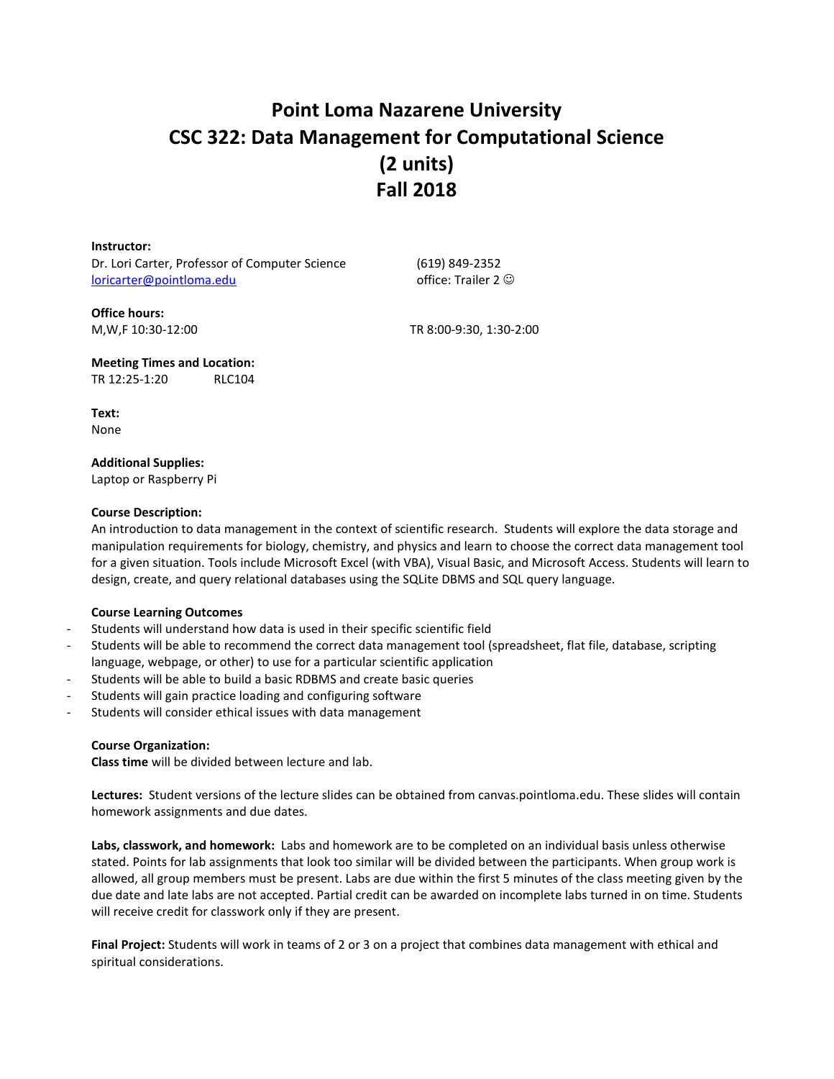# **Point Loma Nazarene University CSC 322: Data Management for Computational Science (2 units) Fall 2018**

**Instructor:** Dr. Lori Carter, Professor of Computer Science [loricarter@pointloma.edu](mailto:loricarter@pointloma.edu)

(619) 849-2352 office: Trailer 2  $\odot$ 

**Office hours:**

M,W,F 10:30-12:00 TR 8:00-9:30, 1:30-2:00

**Meeting Times and Location:** TR 12:25-1:20 RLC104

**Text:** None

# **Additional Supplies:**

Laptop or Raspberry Pi

# **Course Description:**

An introduction to data management in the context of scientific research. Students will explore the data storage and manipulation requirements for biology, chemistry, and physics and learn to choose the correct data management tool for a given situation. Tools include Microsoft Excel (with VBA), Visual Basic, and Microsoft Access. Students will learn to design, create, and query relational databases using the SQLite DBMS and SQL query language.

# **Course Learning Outcomes**

- Students will understand how data is used in their specific scientific field
- Students will be able to recommend the correct data management tool (spreadsheet, flat file, database, scripting language, webpage, or other) to use for a particular scientific application
- Students will be able to build a basic RDBMS and create basic queries
- Students will gain practice loading and configuring software
- Students will consider ethical issues with data management

# **Course Organization:**

**Class time** will be divided between lecture and lab.

**Lectures:** Student versions of the lecture slides can be obtained from canvas.pointloma.edu. These slides will contain homework assignments and due dates.

**Labs, classwork, and homework:** Labs and homework are to be completed on an individual basis unless otherwise stated. Points for lab assignments that look too similar will be divided between the participants. When group work is allowed, all group members must be present. Labs are due within the first 5 minutes of the class meeting given by the due date and late labs are not accepted. Partial credit can be awarded on incomplete labs turned in on time. Students will receive credit for classwork only if they are present.

**Final Project:** Students will work in teams of 2 or 3 on a project that combines data management with ethical and spiritual considerations.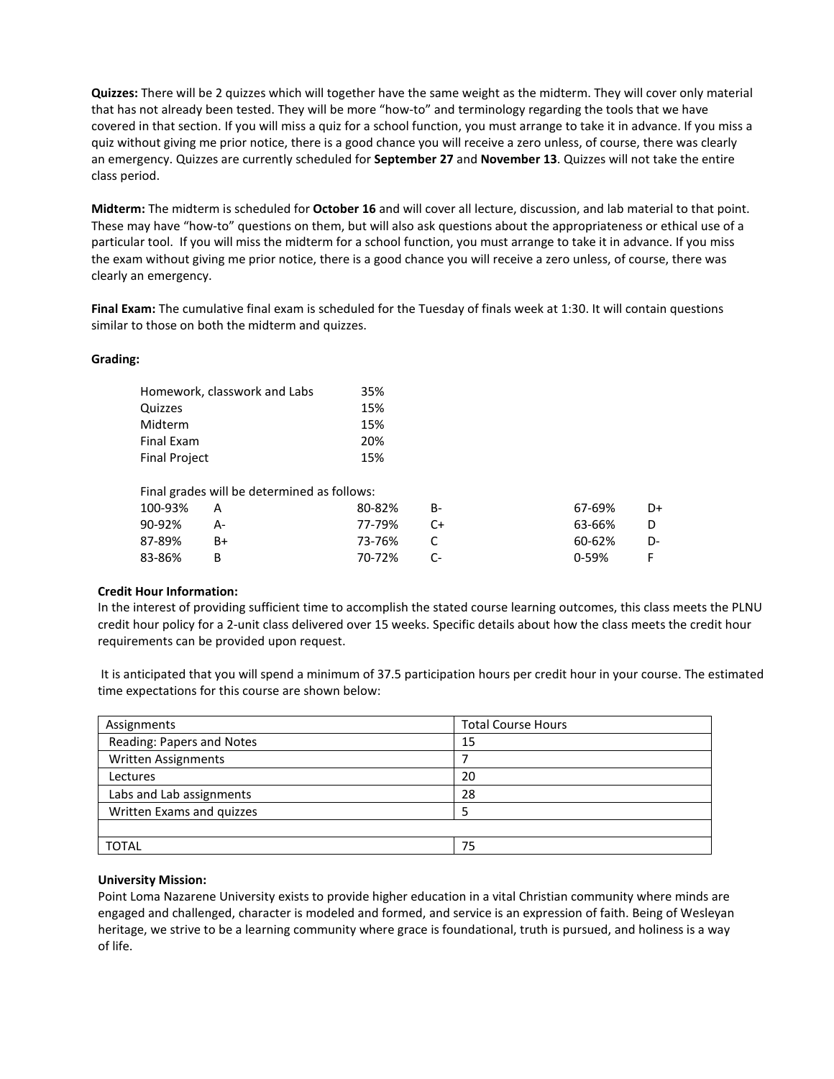**Quizzes:** There will be 2 quizzes which will together have the same weight as the midterm. They will cover only material that has not already been tested. They will be more "how-to" and terminology regarding the tools that we have covered in that section. If you will miss a quiz for a school function, you must arrange to take it in advance. If you miss a quiz without giving me prior notice, there is a good chance you will receive a zero unless, of course, there was clearly an emergency. Quizzes are currently scheduled for **September 27** and **November 13**. Quizzes will not take the entire class period.

**Midterm:** The midterm is scheduled for **October 16** and will cover all lecture, discussion, and lab material to that point. These may have "how-to" questions on them, but will also ask questions about the appropriateness or ethical use of a particular tool. If you will miss the midterm for a school function, you must arrange to take it in advance. If you miss the exam without giving me prior notice, there is a good chance you will receive a zero unless, of course, there was clearly an emergency.

**Final Exam:** The cumulative final exam is scheduled for the Tuesday of finals week at 1:30. It will contain questions similar to those on both the midterm and quizzes.

## **Grading:**

| Homework, classwork and Labs | 35% |
|------------------------------|-----|
| Quizzes                      | 15% |
| Midterm                      | 15% |
| Final Exam                   | 20% |
| <b>Final Project</b>         | 15% |
|                              |     |

| Final grades will be determined as follows: |          |        |                |        |    |  |  |
|---------------------------------------------|----------|--------|----------------|--------|----|--|--|
| 100-93%                                     | <b>A</b> | 80-82% | - B-           | 67-69% | D+ |  |  |
| 90-92%                                      | A-       | 77-79% | $\mathsf{C}$ + | 63-66% | D. |  |  |
| 87-89%                                      | $B+$     | 73-76% |                | 60-62% | D- |  |  |
| 83-86%                                      |          | 70-72% |                | በ-59%  |    |  |  |

## **Credit Hour Information:**

In the interest of providing sufficient time to accomplish the stated course learning outcomes, this class meets the PLNU credit hour policy for a 2-unit class delivered over 15 weeks. Specific details about how the class meets the credit hour requirements can be provided upon request.

It is anticipated that you will spend a minimum of 37.5 participation hours per credit hour in your course. The estimated time expectations for this course are shown below:

| Assignments                | <b>Total Course Hours</b> |
|----------------------------|---------------------------|
| Reading: Papers and Notes  | 15                        |
| <b>Written Assignments</b> |                           |
| Lectures                   | 20                        |
| Labs and Lab assignments   | 28                        |
| Written Exams and quizzes  |                           |
|                            |                           |
| <b>TOTAL</b>               | 75                        |

### **University Mission:**

Point Loma Nazarene University exists to provide higher education in a vital Christian community where minds are engaged and challenged, character is modeled and formed, and service is an expression of faith. Being of Wesleyan heritage, we strive to be a learning community where grace is foundational, truth is pursued, and holiness is a way of life.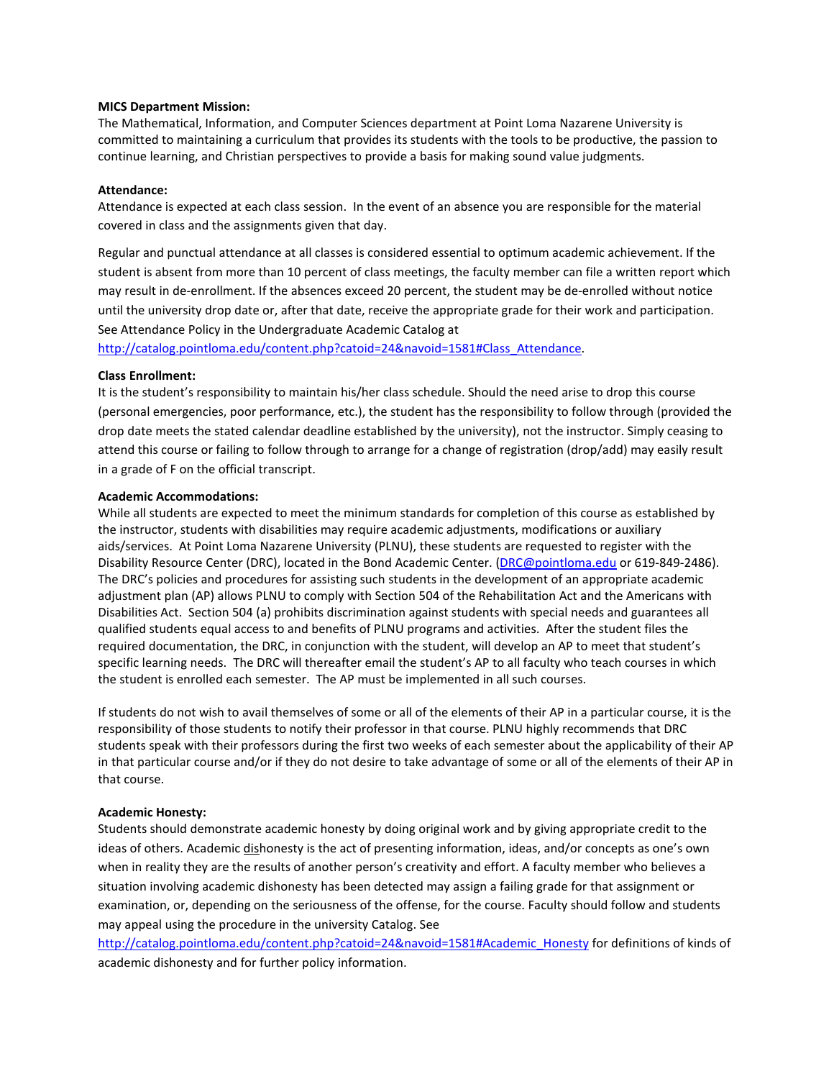#### **MICS Department Mission:**

The Mathematical, Information, and Computer Sciences department at Point Loma Nazarene University is committed to maintaining a curriculum that provides its students with the tools to be productive, the passion to continue learning, and Christian perspectives to provide a basis for making sound value judgments.

#### **Attendance:**

Attendance is expected at each class session. In the event of an absence you are responsible for the material covered in class and the assignments given that day.

Regular and punctual attendance at all classes is considered essential to optimum academic achievement. If the student is absent from more than 10 percent of class meetings, the faculty member can file a written report which may result in de-enrollment. If the absences exceed 20 percent, the student may be de-enrolled without notice until the university drop date or, after that date, receive the appropriate grade for their work and participation. See Attendance Policy in the Undergraduate Academic Catalog at

[http://catalog.pointloma.edu/content.php?catoid=24&navoid=1581#Class\\_Attendance.](http://catalog.pointloma.edu/content.php?catoid=24&navoid=1581#Class_Attendance)

#### **Class Enrollment:**

It is the student's responsibility to maintain his/her class schedule. Should the need arise to drop this course (personal emergencies, poor performance, etc.), the student has the responsibility to follow through (provided the drop date meets the stated calendar deadline established by the university), not the instructor. Simply ceasing to attend this course or failing to follow through to arrange for a change of registration (drop/add) may easily result in a grade of F on the official transcript.

#### **Academic Accommodations:**

While all students are expected to meet the minimum standards for completion of this course as established by the instructor, students with disabilities may require academic adjustments, modifications or auxiliary aids/services. At Point Loma Nazarene University (PLNU), these students are requested to register with the Disability Resource Center (DRC), located in the Bond Academic Center. [\(DRC@pointloma.edu](mailto:DRC@pointloma.edu) or 619-849-2486). The DRC's policies and procedures for assisting such students in the development of an appropriate academic adjustment plan (AP) allows PLNU to comply with Section 504 of the Rehabilitation Act and the Americans with Disabilities Act. Section 504 (a) prohibits discrimination against students with special needs and guarantees all qualified students equal access to and benefits of PLNU programs and activities. After the student files the required documentation, the DRC, in conjunction with the student, will develop an AP to meet that student's specific learning needs. The DRC will thereafter email the student's AP to all faculty who teach courses in which the student is enrolled each semester. The AP must be implemented in all such courses.

If students do not wish to avail themselves of some or all of the elements of their AP in a particular course, it is the responsibility of those students to notify their professor in that course. PLNU highly recommends that DRC students speak with their professors during the first two weeks of each semester about the applicability of their AP in that particular course and/or if they do not desire to take advantage of some or all of the elements of their AP in that course.

#### **Academic Honesty:**

Students should demonstrate academic honesty by doing original work and by giving appropriate credit to the ideas of others. Academic dishonesty is the act of presenting information, ideas, and/or concepts as one's own when in reality they are the results of another person's creativity and effort. A faculty member who believes a situation involving academic dishonesty has been detected may assign a failing grade for that assignment or examination, or, depending on the seriousness of the offense, for the course. Faculty should follow and students may appeal using the procedure in the university Catalog. See

[http://catalog.pointloma.edu/content.php?catoid=24&navoid=1581#Academic\\_Honesty](http://catalog.pointloma.edu/content.php?catoid=24&navoid=1581#Academic_Honesty) for definitions of kinds of academic dishonesty and for further policy information.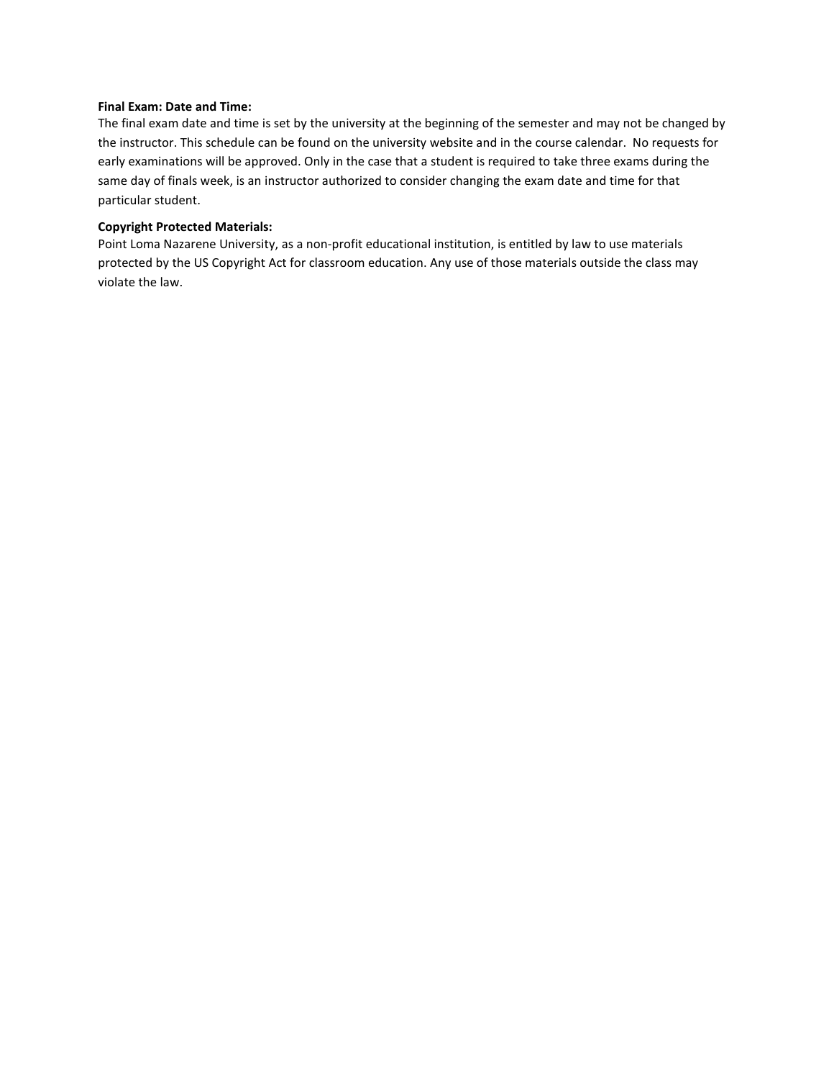### **Final Exam: Date and Time:**

The final exam date and time is set by the university at the beginning of the semester and may not be changed by the instructor. This schedule can be found on the university website and in the course calendar. No requests for early examinations will be approved. Only in the case that a student is required to take three exams during the same day of finals week, is an instructor authorized to consider changing the exam date and time for that particular student.

## **Copyright Protected Materials:**

Point Loma Nazarene University, as a non-profit educational institution, is entitled by law to use materials protected by the US Copyright Act for classroom education. Any use of those materials outside the class may violate the law.